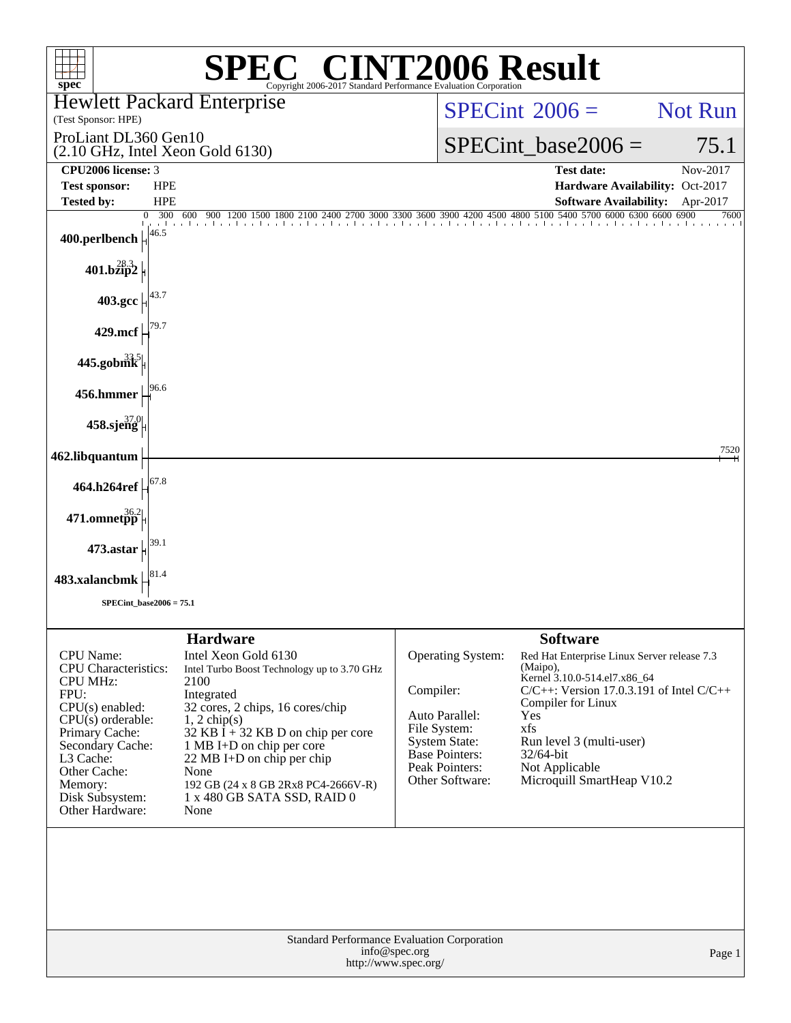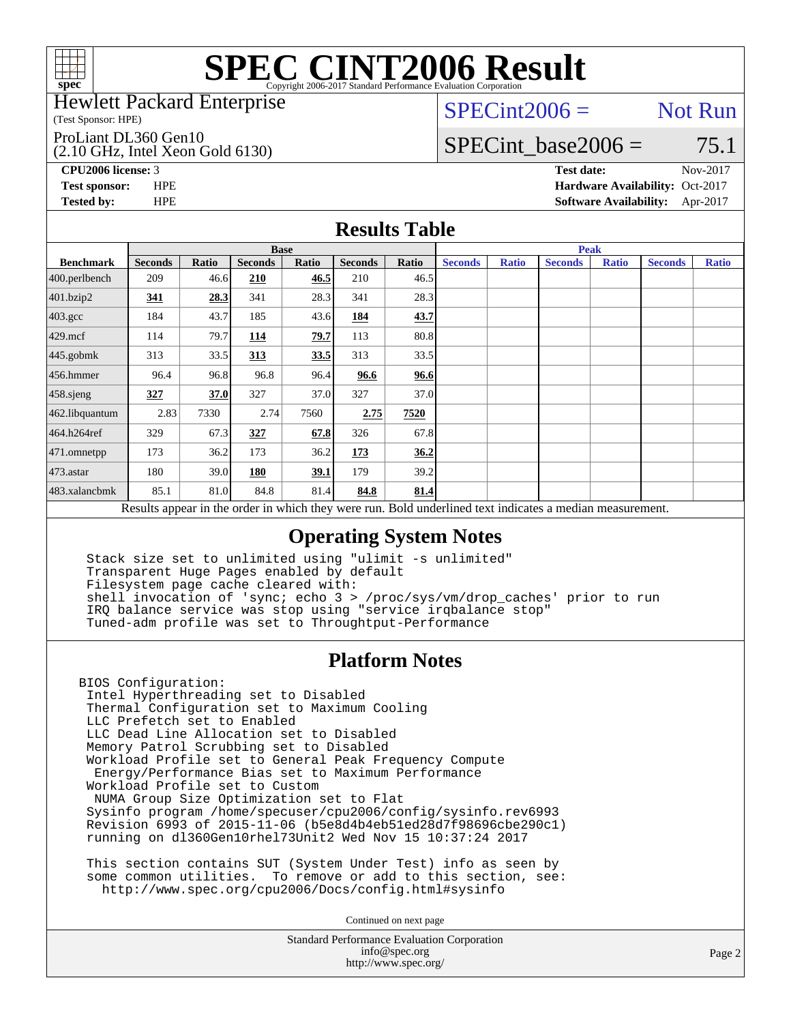

### Hewlett Packard Enterprise

(Test Sponsor: HPE)

ProLiant DL360 Gen10

(2.10 GHz, Intel Xeon Gold 6130)

 $SPECint2006 =$  Not Run

## SPECint base2006 =  $75.1$

**[CPU2006 license:](http://www.spec.org/auto/cpu2006/Docs/result-fields.html#CPU2006license)** 3 **[Test date:](http://www.spec.org/auto/cpu2006/Docs/result-fields.html#Testdate)** Nov-2017

**[Test sponsor:](http://www.spec.org/auto/cpu2006/Docs/result-fields.html#Testsponsor)** HPE **[Hardware Availability:](http://www.spec.org/auto/cpu2006/Docs/result-fields.html#HardwareAvailability)** Oct-2017 **[Tested by:](http://www.spec.org/auto/cpu2006/Docs/result-fields.html#Testedby)** HPE **[Software Availability:](http://www.spec.org/auto/cpu2006/Docs/result-fields.html#SoftwareAvailability)** Apr-2017

### **[Results Table](http://www.spec.org/auto/cpu2006/Docs/result-fields.html#ResultsTable)**

|                                                                                                          | <b>Base</b>    |       |                |       |                |       | <b>Peak</b>    |              |                |              |                |              |
|----------------------------------------------------------------------------------------------------------|----------------|-------|----------------|-------|----------------|-------|----------------|--------------|----------------|--------------|----------------|--------------|
| <b>Benchmark</b>                                                                                         | <b>Seconds</b> | Ratio | <b>Seconds</b> | Ratio | <b>Seconds</b> | Ratio | <b>Seconds</b> | <b>Ratio</b> | <b>Seconds</b> | <b>Ratio</b> | <b>Seconds</b> | <b>Ratio</b> |
| 400.perlbench                                                                                            | 209            | 46.6  | 210            | 46.5  | 210            | 46.5  |                |              |                |              |                |              |
| 401.bzip2                                                                                                | 341            | 28.3  | 341            | 28.3  | 341            | 28.3  |                |              |                |              |                |              |
| $403.\mathrm{gcc}$                                                                                       | 184            | 43.7  | 185            | 43.6  | 184            | 43.7  |                |              |                |              |                |              |
| $429$ .mcf                                                                                               | 114            | 79.7I | 114            | 79.7  | 113            | 80.8  |                |              |                |              |                |              |
| $445$ .gobmk                                                                                             | 313            | 33.5  | 313            | 33.5  | 313            | 33.5  |                |              |                |              |                |              |
| $456.$ hmmer                                                                                             | 96.4           | 96.8  | 96.8           | 96.4  | 96.6           | 96.6  |                |              |                |              |                |              |
| $458$ .sjeng                                                                                             | 327            | 37.0  | 327            | 37.0  | 327            | 37.0  |                |              |                |              |                |              |
| 462.libquantum                                                                                           | 2.83           | 7330  | 2.74           | 7560  | 2.75           | 7520  |                |              |                |              |                |              |
| 464.h264ref                                                                                              | 329            | 67.3  | 327            | 67.8  | 326            | 67.8  |                |              |                |              |                |              |
| $ 471$ .omnetpp                                                                                          | 173            | 36.2  | 173            | 36.2  | 173            | 36.2  |                |              |                |              |                |              |
| $473$ . astar                                                                                            | 180            | 39.0I | 180            | 39.1  | 179            | 39.2  |                |              |                |              |                |              |
| 483.xalancbmk                                                                                            | 85.1           | 81.0  | 84.8           | 81.4  | 84.8           | 81.4  |                |              |                |              |                |              |
| Results appear in the order in which they were run. Bold underlined text indicates a median measurement. |                |       |                |       |                |       |                |              |                |              |                |              |

### **[Operating System Notes](http://www.spec.org/auto/cpu2006/Docs/result-fields.html#OperatingSystemNotes)**

 Stack size set to unlimited using "ulimit -s unlimited" Transparent Huge Pages enabled by default Filesystem page cache cleared with: shell invocation of 'sync; echo 3 > /proc/sys/vm/drop\_caches' prior to run IRQ balance service was stop using "service irqbalance stop" Tuned-adm profile was set to Throughtput-Performance

### **[Platform Notes](http://www.spec.org/auto/cpu2006/Docs/result-fields.html#PlatformNotes)**

BIOS Configuration: Intel Hyperthreading set to Disabled Thermal Configuration set to Maximum Cooling LLC Prefetch set to Enabled LLC Dead Line Allocation set to Disabled Memory Patrol Scrubbing set to Disabled Workload Profile set to General Peak Frequency Compute Energy/Performance Bias set to Maximum Performance Workload Profile set to Custom NUMA Group Size Optimization set to Flat Sysinfo program /home/specuser/cpu2006/config/sysinfo.rev6993 Revision 6993 of 2015-11-06 (b5e8d4b4eb51ed28d7f98696cbe290c1) running on dl360Gen10rhel73Unit2 Wed Nov 15 10:37:24 2017

 This section contains SUT (System Under Test) info as seen by some common utilities. To remove or add to this section, see: <http://www.spec.org/cpu2006/Docs/config.html#sysinfo>

Continued on next page

Standard Performance Evaluation Corporation [info@spec.org](mailto:info@spec.org) <http://www.spec.org/>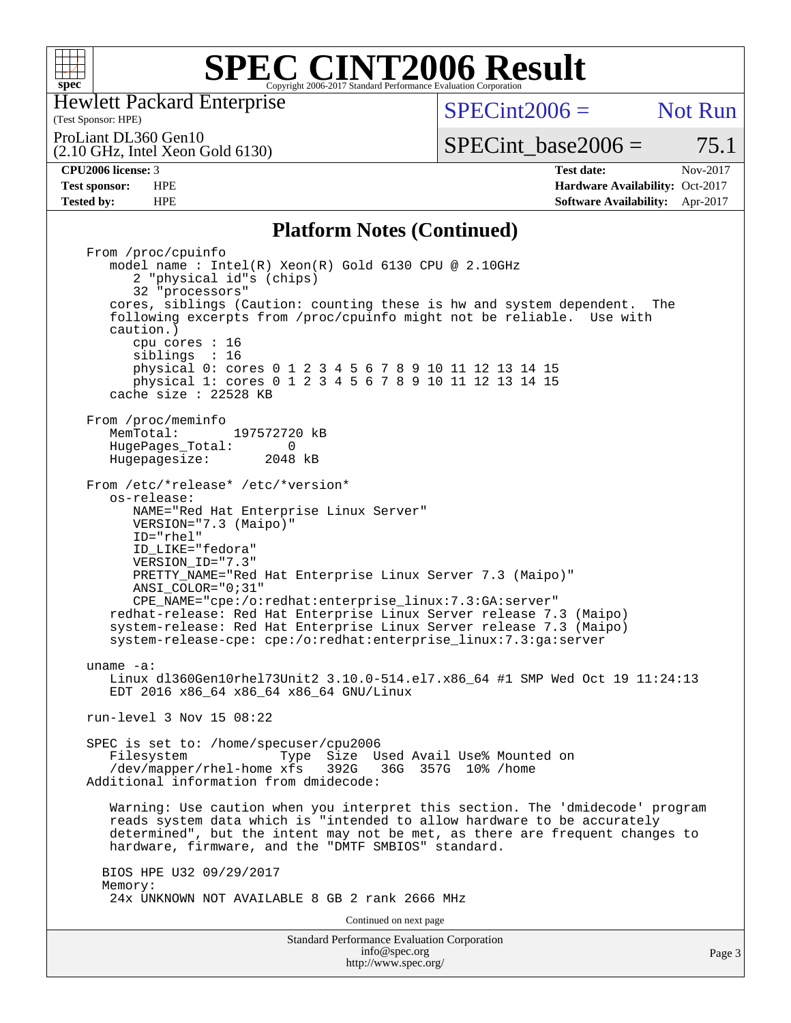

Hewlett Packard Enterprise

(Test Sponsor: HPE)

 $SPECint2006 =$  Not Run

ProLiant DL360 Gen10

(2.10 GHz, Intel Xeon Gold 6130)

**[Test sponsor:](http://www.spec.org/auto/cpu2006/Docs/result-fields.html#Testsponsor)** HPE **[Hardware Availability:](http://www.spec.org/auto/cpu2006/Docs/result-fields.html#HardwareAvailability)** Oct-2017 **[Tested by:](http://www.spec.org/auto/cpu2006/Docs/result-fields.html#Testedby)** HPE **[Software Availability:](http://www.spec.org/auto/cpu2006/Docs/result-fields.html#SoftwareAvailability)** Apr-2017

SPECint base2006 =  $75.1$ **[CPU2006 license:](http://www.spec.org/auto/cpu2006/Docs/result-fields.html#CPU2006license)** 3 **[Test date:](http://www.spec.org/auto/cpu2006/Docs/result-fields.html#Testdate)** Nov-2017

### **[Platform Notes \(Continued\)](http://www.spec.org/auto/cpu2006/Docs/result-fields.html#PlatformNotes)**

Standard Performance Evaluation Corporation [info@spec.org](mailto:info@spec.org) From /proc/cpuinfo model name : Intel(R) Xeon(R) Gold 6130 CPU @ 2.10GHz 2 "physical id"s (chips) 32 "processors" cores, siblings (Caution: counting these is hw and system dependent. The following excerpts from /proc/cpuinfo might not be reliable. Use with caution.) cpu cores : 16 siblings : 16 physical 0: cores 0 1 2 3 4 5 6 7 8 9 10 11 12 13 14 15 physical 1: cores 0 1 2 3 4 5 6 7 8 9 10 11 12 13 14 15 cache size : 22528 KB From /proc/meminfo<br>MemTotal: 197572720 kB HugePages\_Total: 0<br>Hugepagesize: 2048 kB Hugepagesize: From /etc/\*release\* /etc/\*version\* os-release: NAME="Red Hat Enterprise Linux Server" VERSION="7.3 (Maipo)" ID="rhel" ID\_LIKE="fedora" VERSION\_ID="7.3" PRETTY\_NAME="Red Hat Enterprise Linux Server 7.3 (Maipo)" ANSI\_COLOR="0;31" CPE\_NAME="cpe:/o:redhat:enterprise\_linux:7.3:GA:server" redhat-release: Red Hat Enterprise Linux Server release 7.3 (Maipo) system-release: Red Hat Enterprise Linux Server release 7.3 (Maipo) system-release-cpe: cpe:/o:redhat:enterprise\_linux:7.3:ga:server uname -a: Linux dl360Gen10rhel73Unit2 3.10.0-514.el7.x86\_64 #1 SMP Wed Oct 19 11:24:13 EDT 2016 x86\_64 x86\_64 x86\_64 GNU/Linux run-level 3 Nov 15 08:22 SPEC is set to: /home/specuser/cpu2006 Filesystem Type Size Used Avail Use% Mounted on<br>/dev/mapper/rhel-home xfs 392G 36G 357G 10% /home  $/$ dev/mapper/rhel-home xfs 392G Additional information from dmidecode: Warning: Use caution when you interpret this section. The 'dmidecode' program reads system data which is "intended to allow hardware to be accurately determined", but the intent may not be met, as there are frequent changes to hardware, firmware, and the "DMTF SMBIOS" standard. BIOS HPE U32 09/29/2017 Memory: 24x UNKNOWN NOT AVAILABLE 8 GB 2 rank 2666 MHz Continued on next page

<http://www.spec.org/>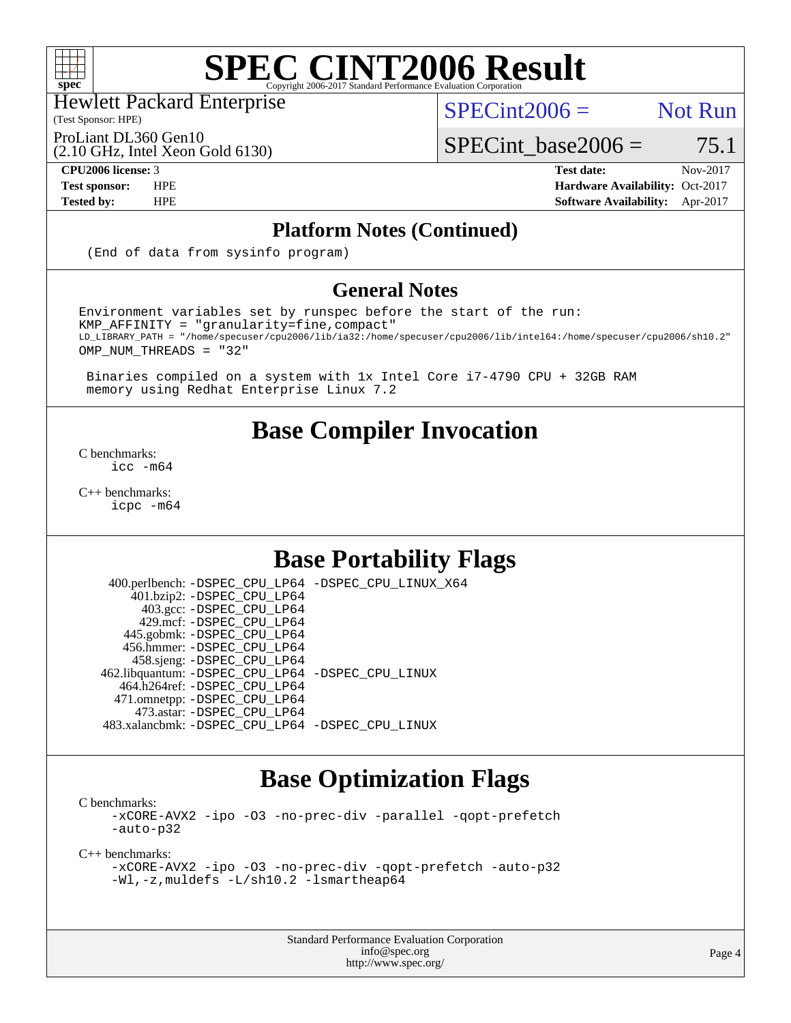

Hewlett Packard Enterprise

(Test Sponsor: HPE)

 $SPECint2006 =$  Not Run

ProLiant DL360 Gen10

(2.10 GHz, Intel Xeon Gold 6130)

**[CPU2006 license:](http://www.spec.org/auto/cpu2006/Docs/result-fields.html#CPU2006license)** 3 **[Test date:](http://www.spec.org/auto/cpu2006/Docs/result-fields.html#Testdate)** Nov-2017 **[Test sponsor:](http://www.spec.org/auto/cpu2006/Docs/result-fields.html#Testsponsor)** HPE **[Hardware Availability:](http://www.spec.org/auto/cpu2006/Docs/result-fields.html#HardwareAvailability)** Oct-2017 **[Tested by:](http://www.spec.org/auto/cpu2006/Docs/result-fields.html#Testedby)** HPE **[Software Availability:](http://www.spec.org/auto/cpu2006/Docs/result-fields.html#SoftwareAvailability)** Apr-2017

SPECint base2006 =  $75.1$ 

### **[Platform Notes \(Continued\)](http://www.spec.org/auto/cpu2006/Docs/result-fields.html#PlatformNotes)**

(End of data from sysinfo program)

### **[General Notes](http://www.spec.org/auto/cpu2006/Docs/result-fields.html#GeneralNotes)**

Environment variables set by runspec before the start of the run: KMP\_AFFINITY = "granularity=fine,compact" LD\_LIBRARY\_PATH = "/home/specuser/cpu2006/lib/ia32:/home/specuser/cpu2006/lib/intel64:/home/specuser/cpu2006/sh10.2" OMP\_NUM\_THREADS = "32"

 Binaries compiled on a system with 1x Intel Core i7-4790 CPU + 32GB RAM memory using Redhat Enterprise Linux 7.2

# **[Base Compiler Invocation](http://www.spec.org/auto/cpu2006/Docs/result-fields.html#BaseCompilerInvocation)**

[C benchmarks](http://www.spec.org/auto/cpu2006/Docs/result-fields.html#Cbenchmarks): [icc -m64](http://www.spec.org/cpu2006/results/res2017q4/cpu2006-20171127-50820.flags.html#user_CCbase_intel_icc_64bit_bda6cc9af1fdbb0edc3795bac97ada53)

[C++ benchmarks:](http://www.spec.org/auto/cpu2006/Docs/result-fields.html#CXXbenchmarks) [icpc -m64](http://www.spec.org/cpu2006/results/res2017q4/cpu2006-20171127-50820.flags.html#user_CXXbase_intel_icpc_64bit_fc66a5337ce925472a5c54ad6a0de310)

# **[Base Portability Flags](http://www.spec.org/auto/cpu2006/Docs/result-fields.html#BasePortabilityFlags)**

 400.perlbench: [-DSPEC\\_CPU\\_LP64](http://www.spec.org/cpu2006/results/res2017q4/cpu2006-20171127-50820.flags.html#b400.perlbench_basePORTABILITY_DSPEC_CPU_LP64) [-DSPEC\\_CPU\\_LINUX\\_X64](http://www.spec.org/cpu2006/results/res2017q4/cpu2006-20171127-50820.flags.html#b400.perlbench_baseCPORTABILITY_DSPEC_CPU_LINUX_X64) 401.bzip2: [-DSPEC\\_CPU\\_LP64](http://www.spec.org/cpu2006/results/res2017q4/cpu2006-20171127-50820.flags.html#suite_basePORTABILITY401_bzip2_DSPEC_CPU_LP64) 403.gcc: [-DSPEC\\_CPU\\_LP64](http://www.spec.org/cpu2006/results/res2017q4/cpu2006-20171127-50820.flags.html#suite_basePORTABILITY403_gcc_DSPEC_CPU_LP64) 429.mcf: [-DSPEC\\_CPU\\_LP64](http://www.spec.org/cpu2006/results/res2017q4/cpu2006-20171127-50820.flags.html#suite_basePORTABILITY429_mcf_DSPEC_CPU_LP64) 445.gobmk: [-DSPEC\\_CPU\\_LP64](http://www.spec.org/cpu2006/results/res2017q4/cpu2006-20171127-50820.flags.html#suite_basePORTABILITY445_gobmk_DSPEC_CPU_LP64) 456.hmmer: [-DSPEC\\_CPU\\_LP64](http://www.spec.org/cpu2006/results/res2017q4/cpu2006-20171127-50820.flags.html#suite_basePORTABILITY456_hmmer_DSPEC_CPU_LP64) 458.sjeng: [-DSPEC\\_CPU\\_LP64](http://www.spec.org/cpu2006/results/res2017q4/cpu2006-20171127-50820.flags.html#suite_basePORTABILITY458_sjeng_DSPEC_CPU_LP64) 462.libquantum: [-DSPEC\\_CPU\\_LP64](http://www.spec.org/cpu2006/results/res2017q4/cpu2006-20171127-50820.flags.html#suite_basePORTABILITY462_libquantum_DSPEC_CPU_LP64) [-DSPEC\\_CPU\\_LINUX](http://www.spec.org/cpu2006/results/res2017q4/cpu2006-20171127-50820.flags.html#b462.libquantum_baseCPORTABILITY_DSPEC_CPU_LINUX) 464.h264ref: [-DSPEC\\_CPU\\_LP64](http://www.spec.org/cpu2006/results/res2017q4/cpu2006-20171127-50820.flags.html#suite_basePORTABILITY464_h264ref_DSPEC_CPU_LP64) 471.omnetpp: [-DSPEC\\_CPU\\_LP64](http://www.spec.org/cpu2006/results/res2017q4/cpu2006-20171127-50820.flags.html#suite_basePORTABILITY471_omnetpp_DSPEC_CPU_LP64) 473.astar: [-DSPEC\\_CPU\\_LP64](http://www.spec.org/cpu2006/results/res2017q4/cpu2006-20171127-50820.flags.html#suite_basePORTABILITY473_astar_DSPEC_CPU_LP64) 483.xalancbmk: [-DSPEC\\_CPU\\_LP64](http://www.spec.org/cpu2006/results/res2017q4/cpu2006-20171127-50820.flags.html#suite_basePORTABILITY483_xalancbmk_DSPEC_CPU_LP64) [-DSPEC\\_CPU\\_LINUX](http://www.spec.org/cpu2006/results/res2017q4/cpu2006-20171127-50820.flags.html#b483.xalancbmk_baseCXXPORTABILITY_DSPEC_CPU_LINUX)

# **[Base Optimization Flags](http://www.spec.org/auto/cpu2006/Docs/result-fields.html#BaseOptimizationFlags)**

[C benchmarks](http://www.spec.org/auto/cpu2006/Docs/result-fields.html#Cbenchmarks):

[-xCORE-AVX2](http://www.spec.org/cpu2006/results/res2017q4/cpu2006-20171127-50820.flags.html#user_CCbase_f-xCORE-AVX2) [-ipo](http://www.spec.org/cpu2006/results/res2017q4/cpu2006-20171127-50820.flags.html#user_CCbase_f-ipo) [-O3](http://www.spec.org/cpu2006/results/res2017q4/cpu2006-20171127-50820.flags.html#user_CCbase_f-O3) [-no-prec-div](http://www.spec.org/cpu2006/results/res2017q4/cpu2006-20171127-50820.flags.html#user_CCbase_f-no-prec-div) [-parallel](http://www.spec.org/cpu2006/results/res2017q4/cpu2006-20171127-50820.flags.html#user_CCbase_f-parallel) [-qopt-prefetch](http://www.spec.org/cpu2006/results/res2017q4/cpu2006-20171127-50820.flags.html#user_CCbase_f-qopt-prefetch) [-auto-p32](http://www.spec.org/cpu2006/results/res2017q4/cpu2006-20171127-50820.flags.html#user_CCbase_f-auto-p32)

[C++ benchmarks:](http://www.spec.org/auto/cpu2006/Docs/result-fields.html#CXXbenchmarks)

```
-xCORE-AVX2 -ipo -O3 -no-prec-div -qopt-prefetch -auto-p32
-Wl,-z,muldefs -L/sh10.2 -lsmartheap64
```
Standard Performance Evaluation Corporation [info@spec.org](mailto:info@spec.org) <http://www.spec.org/>